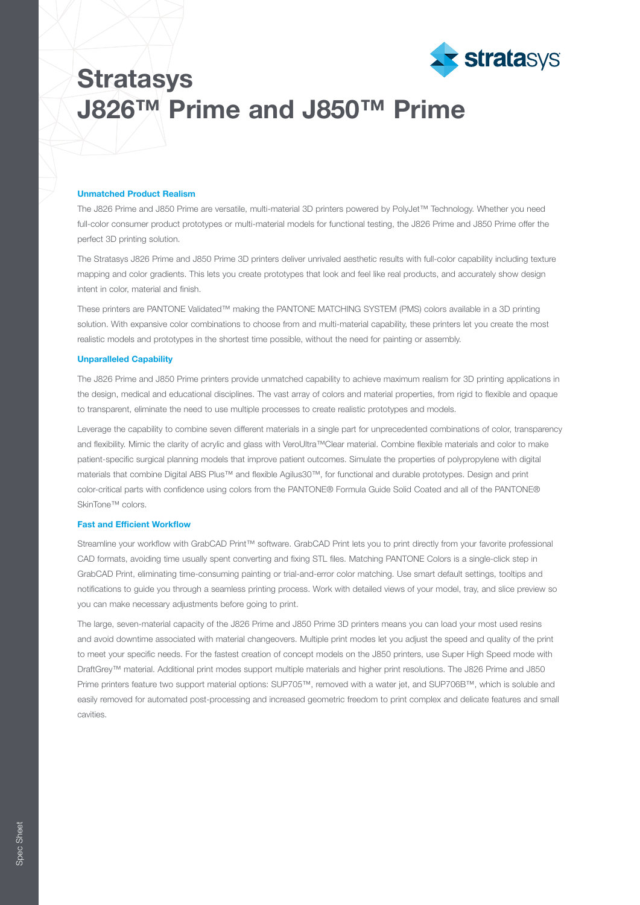

# **Stratasys** J826™ Prime and J850™ Prime

## Unmatched Product Realism

The J826 Prime and J850 Prime are versatile, multi-material 3D printers powered by PolyJet™ Technology. Whether you need full-color consumer product prototypes or multi-material models for functional testing, the J826 Prime and J850 Prime offer the perfect 3D printing solution.

The Stratasys J826 Prime and J850 Prime 3D printers deliver unrivaled aesthetic results with full-color capability including texture mapping and color gradients. This lets you create prototypes that look and feel like real products, and accurately show design intent in color, material and finish.

These printers are PANTONE Validated™ making the PANTONE MATCHING SYSTEM (PMS) colors available in a 3D printing solution. With expansive color combinations to choose from and multi-material capability, these printers let you create the most realistic models and prototypes in the shortest time possible, without the need for painting or assembly.

### Unparalleled Capability

The J826 Prime and J850 Prime printers provide unmatched capability to achieve maximum realism for 3D printing applications in the design, medical and educational disciplines. The vast array of colors and material properties, from rigid to flexible and opaque to transparent, eliminate the need to use multiple processes to create realistic prototypes and models.

Leverage the capability to combine seven different materials in a single part for unprecedented combinations of color, transparency and flexibility. Mimic the clarity of acrylic and glass with VeroUltra™Clear material. Combine flexible materials and color to make patient-specific surgical planning models that improve patient outcomes. Simulate the properties of polypropylene with digital materials that combine Digital ABS Plus™ and flexible Agilus30™, for functional and durable prototypes. Design and print color-critical parts with confidence using colors from the PANTONE® Formula Guide Solid Coated and all of the PANTONE® SkinTone™ colors.

#### Fast and Efficient Workflow

Streamline your workflow with GrabCAD Print™ software. GrabCAD Print lets you to print directly from your favorite professional CAD formats, avoiding time usually spent converting and fixing STL files. Matching PANTONE Colors is a single-click step in GrabCAD Print, eliminating time-consuming painting or trial-and-error color matching. Use smart default settings, tooltips and notifications to guide you through a seamless printing process. Work with detailed views of your model, tray, and slice preview so you can make necessary adjustments before going to print.

The large, seven-material capacity of the J826 Prime and J850 Prime 3D printers means you can load your most used resins and avoid downtime associated with material changeovers. Multiple print modes let you adjust the speed and quality of the print to meet your specific needs. For the fastest creation of concept models on the J850 printers, use Super High Speed mode with DraftGrey™ material. Additional print modes support multiple materials and higher print resolutions. The J826 Prime and J850 Prime printers feature two support material options: SUP705™, removed with a water jet, and SUP706B™, which is soluble and easily removed for automated post-processing and increased geometric freedom to print complex and delicate features and small cavities.